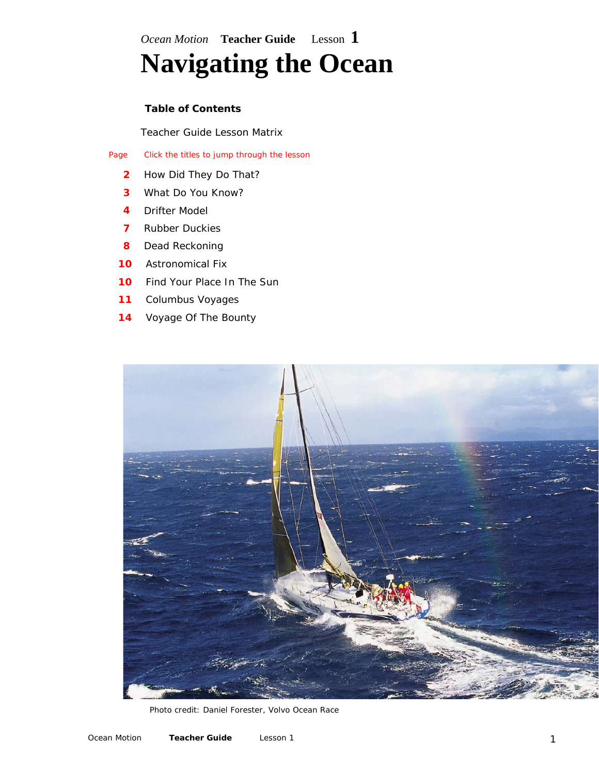*Ocean Motion* **Teacher Guide** Lesson **1 Navigating the Ocean** 

## **Table of Contents**

[Teacher Guide Lesson Matrix](http://oceanmotion.org/html/teachers/overview.htm)

Page Click the titles to jump through the lesson

- **2** [How Did They Do That?](#page-1-0)
- **3** [What Do You Know?](#page-2-0)
- **4** [Drifter Model](#page-3-0)
- **7** [Rubber Duckies](#page-6-0)
- **8** [Dead Reckoning](#page-7-0)
- **10** [Astronomical Fix](#page-9-0)
- **10** [Find Your Place In The Sun](#page-9-0)
- **11** [Columbus Voyages](#page-10-0)
- 14 [Voyage Of The Bounty](#page-13-0)



Photo credit: Daniel Forester, Volvo Ocean Race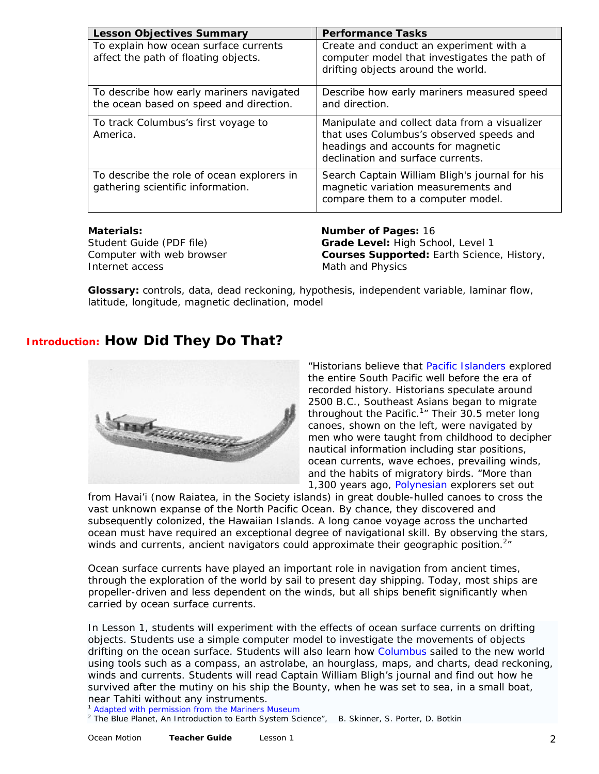<span id="page-1-0"></span>

| <b>Lesson Objectives Summary</b>                                                    | <b>Performance Tasks</b>                                                                                                                                             |
|-------------------------------------------------------------------------------------|----------------------------------------------------------------------------------------------------------------------------------------------------------------------|
| To explain how ocean surface currents<br>affect the path of floating objects.       | Create and conduct an experiment with a<br>computer model that investigates the path of<br>drifting objects around the world.                                        |
| To describe how early mariners navigated<br>the ocean based on speed and direction. | Describe how early mariners measured speed<br>and direction.                                                                                                         |
| To track Columbus's first voyage to<br>America.                                     | Manipulate and collect data from a visualizer<br>that uses Columbus's observed speeds and<br>headings and accounts for magnetic<br>declination and surface currents. |
| To describe the role of ocean explorers in<br>gathering scientific information.     | Search Captain William Bligh's journal for his<br>magnetic variation measurements and<br>compare them to a computer model.                                           |

Internet access and the Math and Physics

**Materials: Number of Pages:** 16 Student Guide (PDF file) **Grade Level:** High School, Level 1 Computer with web browser **Courses Supported:** Earth Science, History,

**Glossary:** controls, data, dead reckoning, hypothesis, independent variable, laminar flow, latitude, longitude, magnetic declination, model

# **Introduction: How Did They Do That?**



"Historians believe that [Pacific Islanders](http://www.mariner.org/educationalad/ageofex/polynesia.php) explored the entire South Pacific well before the era of recorded history. Historians speculate around 2500 B.C., Southeast Asians began to migrate throughout the Pacific.<sup>1</sup>" Their 30.5 meter long canoes, shown on the left, were navigated by men who were taught from childhood to decipher nautical information including star positions, ocean currents, wave echoes, prevailing winds, and the habits of migratory birds. "More than 1,300 years ago, [Polynesian](http://www.oceanmotion.org/html/background/timeline1-1000.htm) explorers set out

from Havai'i (now Raiatea, in the Society islands) in great double-hulled canoes to cross the vast unknown expanse of the North Pacific Ocean. By chance, they discovered and subsequently colonized, the Hawaiian Islands. A long canoe voyage across the uncharted ocean must have required an exceptional degree of navigational skill. By observing the stars, winds and currents, ancient navigators could approximate their geographic position. $2\pi$ 

Ocean surface currents have played an important role in navigation from ancient times, through the exploration of the world by sail to present day shipping. Today, most ships are propeller-driven and less dependent on the winds, but all ships benefit significantly when carried by ocean surface currents.

In Lesson 1, students will experiment with the effects of ocean surface currents on drifting objects. Students use a simple computer model to investigate the movements of objects drifting on the ocean surface. Students will also learn how [Columbus](http://www.oceanmotion.org/html/background/timeline1500.htm) sailed to the new world using tools such as a compass, an astrolabe, an hourglass, maps, and charts, dead reckoning, winds and currents. Students will read Captain William Bligh's journal and find out how he survived after the mutiny on his ship the Bounty, when he was set to sea, in a small boat, near Tahiti without any instruments.<br><sup>1</sup> [Adapted with permission from the Mariners Museum](http://www.mariner.org/educationalad/ageofex/polynesia.php)

<sup>2</sup> The Blue Planet, An Introduction to Earth System Science", B. Skinner, S. Porter, D. Botkin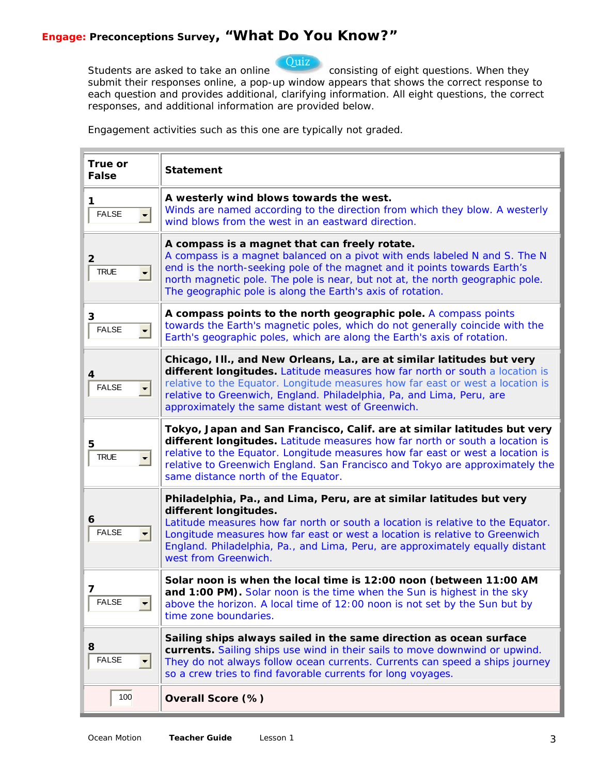Ouiz

<span id="page-2-0"></span>Students are asked to take an online consisting of eight questions. When they submit their responses online, a pop-up window appears that shows the correct response to each question and provides additional, clarifying information. All eight questions, the correct responses, and additional information are provided below.

Engagement activities such as this one are typically *not graded*.

| True or<br><b>False</b>             | <b>Statement</b>                                                                                                                                                                                                                                                                                                                                                         |
|-------------------------------------|--------------------------------------------------------------------------------------------------------------------------------------------------------------------------------------------------------------------------------------------------------------------------------------------------------------------------------------------------------------------------|
| 1<br><b>FALSE</b><br>$\blacksquare$ | A westerly wind blows towards the west.<br>Winds are named according to the direction from which they blow. A westerly<br>wind blows from the west in an eastward direction.                                                                                                                                                                                             |
| 2<br><b>TRUE</b>                    | A compass is a magnet that can freely rotate.<br>A compass is a magnet balanced on a pivot with ends labeled N and S. The N<br>end is the north-seeking pole of the magnet and it points towards Earth's<br>north magnetic pole. The pole is near, but not at, the north geographic pole.<br>The geographic pole is along the Earth's axis of rotation.                  |
| 3<br><b>FALSE</b><br>$\blacksquare$ | A compass points to the north geographic pole. A compass points<br>towards the Earth's magnetic poles, which do not generally coincide with the<br>Earth's geographic poles, which are along the Earth's axis of rotation.                                                                                                                                               |
| 4<br><b>FALSE</b>                   | Chicago, III., and New Orleans, La., are at similar latitudes but very<br>different longitudes. Latitude measures how far north or south a location is<br>relative to the Equator. Longitude measures how far east or west a location is<br>relative to Greenwich, England. Philadelphia, Pa, and Lima, Peru, are<br>approximately the same distant west of Greenwich.   |
| 5<br><b>TRUE</b>                    | Tokyo, Japan and San Francisco, Calif. are at similar latitudes but very<br>different longitudes. Latitude measures how far north or south a location is<br>relative to the Equator. Longitude measures how far east or west a location is<br>relative to Greenwich England. San Francisco and Tokyo are approximately the<br>same distance north of the Equator.        |
| 6<br><b>FALSE</b>                   | Philadelphia, Pa., and Lima, Peru, are at similar latitudes but very<br>different longitudes.<br>Latitude measures how far north or south a location is relative to the Equator.<br>Longitude measures how far east or west a location is relative to Greenwich<br>England. Philadelphia, Pa., and Lima, Peru, are approximately equally distant<br>west from Greenwich. |
| <b>FALSE</b>                        | Solar noon is when the local time is 12:00 noon (between 11:00 AM<br><b>and 1:00 PM).</b> Solar noon is the time when the Sun is highest in the sky<br>above the horizon. A local time of 12:00 noon is not set by the Sun but by<br>time zone boundaries.                                                                                                               |
| 8<br><b>FALSE</b>                   | Sailing ships always sailed in the same direction as ocean surface<br>currents. Sailing ships use wind in their sails to move downwind or upwind.<br>They do not always follow ocean currents. Currents can speed a ships journey<br>so a crew tries to find favorable currents for long voyages.                                                                        |
| 100                                 | Overall Score (%)                                                                                                                                                                                                                                                                                                                                                        |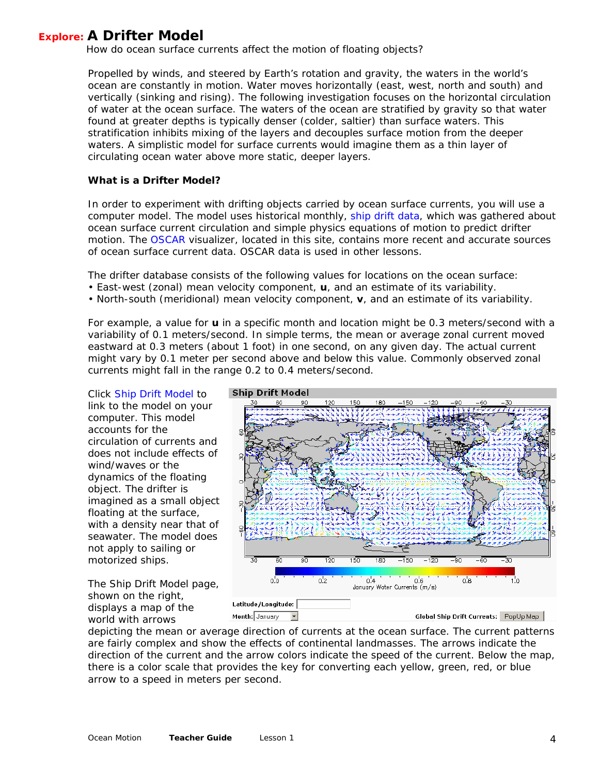<span id="page-3-0"></span> **Explore: A Drifter Model** *How do ocean surface currents affect the motion of floating objects?* 

Propelled by winds, and steered by Earth's rotation and gravity, the waters in the world's ocean are constantly in motion. Water moves horizontally (east, west, north and south) and vertically (sinking and rising). The following investigation focuses on the horizontal circulation of water at the ocean surface. The waters of the ocean are stratified by gravity so that water found at greater depths is typically denser (colder, saltier) than surface waters. This stratification inhibits mixing of the layers and decouples surface motion from the deeper waters. A simplistic model for surface currents would imagine them as a thin layer of circulating ocean water above more static, deeper layers.

### **What is a Drifter Model?**

In order to experiment with drifting objects carried by ocean surface currents, you will use a computer model. The model uses historical monthly, [ship drift data,](http://www.oceanmotion.org/html/gatheringdata/shipdrift.htm) which was gathered about ocean surface current circulation and simple physics equations of motion to predict drifter motion. The [OSCAR](http://www.oceanmotion.org/html/resources/oscar.htm) visualizer, located in this site, contains more recent and accurate sources of ocean surface current data. OSCAR data is used in other lessons.

The drifter database consists of the following values for locations on the ocean surface:

- East-west (zonal) mean velocity component, **u**, and an estimate of its variability.
- North-south (meridional) mean velocity component, **v**, and an estimate of its variability.

For example, a value for **u** in a specific month and location might be 0.3 meters/second with a variability of 0.1 meters/second. In simple terms, the mean or average zonal current moved eastward at 0.3 meters (about 1 foot) in one second, on any given day. The actual current might vary by 0.1 meter per second above and below this value. Commonly observed zonal currents might fall in the range 0.2 to 0.4 meters/second.

Click *[Ship Drift Model](http://www.oceanmotion.org/html/resources/drifter.htm)* to link to the model on your computer. This model accounts for the circulation of currents and does not include effects of wind/waves or the dynamics of the floating object. The drifter is imagined as a small object floating at the surface, with a density near that of seawater. The model does not apply to sailing or motorized ships.

The *Ship Drift Model* page, shown on the right, displays a map of the world with arrows



depicting the mean or average direction of currents at the ocean surface. The current patterns are fairly complex and show the effects of continental landmasses. The arrows indicate the direction of the current and the arrow colors indicate the speed of the current. Below the map, there is a color scale that provides the key for converting each yellow, green, red, or blue arrow to a speed in meters per second.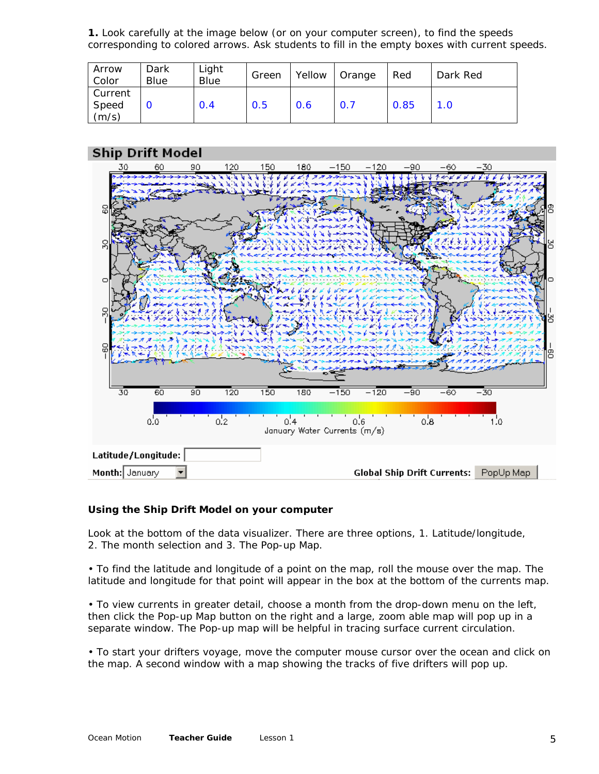**1.** Look carefully at the image below (or on your computer screen), to find the speeds corresponding to colored arrows. Ask students to fill in the empty boxes with current speeds.

| Arrow<br>Color | Dark<br>Blue | Light<br>Blue | Green | Yellow | Orange | Red  | Dark Red |
|----------------|--------------|---------------|-------|--------|--------|------|----------|
| Current        |              |               |       |        |        |      |          |
| Speed          |              | 0.4           | 0.5   | 0.6    | 0.7    | 0.85 | 1.0      |
| (m/s)          |              |               |       |        |        |      |          |

## **Ship Drift Model**



### **Using the Ship Drift Model on your computer**

Look at the bottom of the data visualizer. There are three options, 1. Latitude/longitude, 2. The month selection and 3. The Pop-up Map.

• To find the latitude and longitude of a point on the map, roll the mouse over the map. The latitude and longitude for that point will appear in the box at the bottom of the currents map.

• To view currents in greater detail, choose a month from the drop-down menu on the left, then click the Pop-up Map button on the right and a large, zoom able map will pop up in a separate window. The Pop-up map will be helpful in tracing surface current circulation.

• To start your drifters voyage, move the computer mouse cursor over the ocean and click on the map. A second window with a map showing the tracks of five drifters will pop up.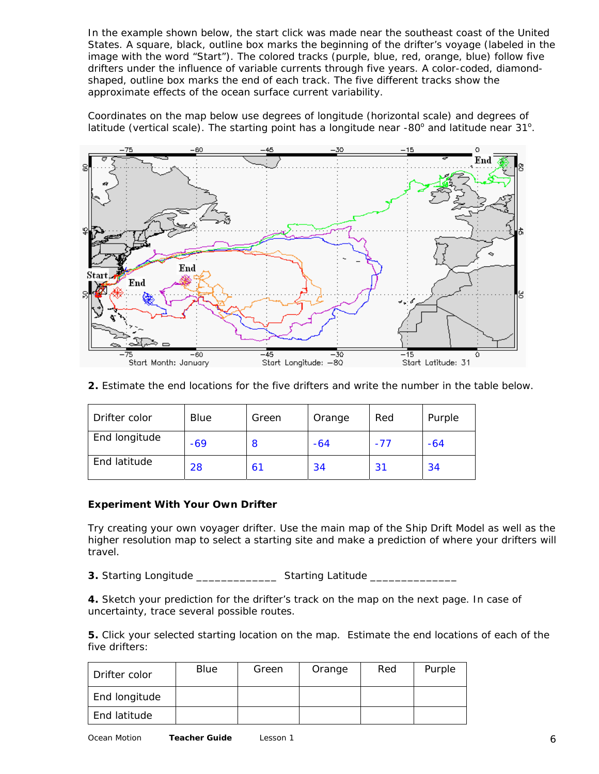In the example shown below, the start click was made near the southeast coast of the United States. A square, black, outline box marks the beginning of the drifter's voyage (labeled in the image with the word "Start"). The colored tracks (purple, blue, red, orange, blue) follow five drifters under the influence of variable currents through five years. A color-coded, diamondshaped, outline box marks the end of each track. The five different tracks show the approximate effects of the ocean surface current variability.

Coordinates on the map below use degrees of longitude (horizontal scale) and degrees of latitude (vertical scale). The starting point has a longitude near -80° and latitude near 31°.



**2.** Estimate the end locations for the five drifters and write the number in the table below.

| Drifter color | Blue  | Green | Orange | Red | Purple |
|---------------|-------|-------|--------|-----|--------|
| End longitude | $-69$ | 8     | -64    | -77 | $-64$  |
| End latitude  | 28    | 61    | 34     | 31  | 34     |

### **Experiment With Your Own Drifter**

Try creating your own voyager drifter. Use the main map of the Ship Drift Model as well as the higher resolution map to select a starting site and make a prediction of where your drifters will travel.

**3.** Starting Longitude \_\_\_\_\_\_\_\_\_\_\_\_\_\_\_\_\_\_ Starting Latitude \_\_\_\_\_\_\_\_\_\_\_\_\_\_\_\_\_\_\_\_

**4.** Sketch your prediction for the drifter's track on the map on the next page. In case of uncertainty, trace several possible routes.

**5.** Click your selected starting location on the map. Estimate the end locations of each of the five drifters:

| Drifter color | Blue | Green | Orange | Red | Purple |
|---------------|------|-------|--------|-----|--------|
| End longitude |      |       |        |     |        |
| End latitude  |      |       |        |     |        |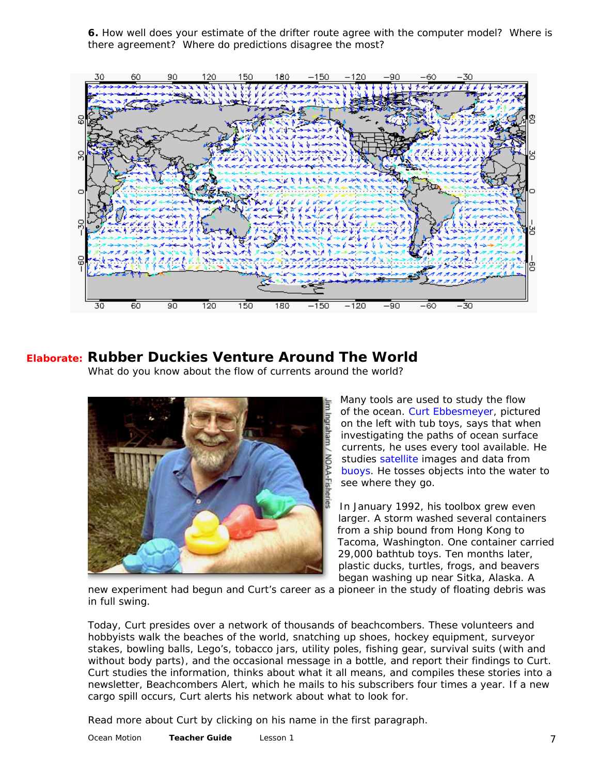**6.** How well does your estimate of the drifter route agree with the computer model? Where is there agreement? Where do predictions disagree the most?

<span id="page-6-0"></span>

# **Elaborate: Rubber Duckies Venture Around The World**

*What do you know about the flow of currents around the world?* 



Many tools are used to study the flow of the ocean. [Curt Ebbesmeyer,](http://www.oceanmotion.org/html/research/ebbesmeyer.htm) pictured on the left with tub toys, says that when investigating the paths of ocean surface currents, he uses every tool available. He studies [satellite](http://www.oceanmotion.org/html/gatheringdata/satellites-jason.htm) images and data from [buoys.](http://www.oceanmotion.org/html/gatheringdata/buoysanddrifers.htm) He tosses objects into the water to see where they go.

In January 1992, his toolbox grew even larger. A storm washed several containers from a ship bound from Hong Kong to Tacoma, Washington. One container carried 29,000 bathtub toys. Ten months later, plastic ducks, turtles, frogs, and beavers began washing up near Sitka, Alaska. A

new experiment had begun and Curt's career as a pioneer in the study of floating debris was in full swing.

Today, Curt presides over a network of thousands of beachcombers. These volunteers and hobbyists walk the beaches of the world, snatching up shoes, hockey equipment, surveyor stakes, bowling balls, Lego's, tobacco jars, utility poles, fishing gear, survival suits (with and without body parts), and the occasional message in a bottle, and report their findings to Curt. Curt studies the information, thinks about what it all means, and compiles these stories into a newsletter, Beachcombers Alert, which he mails to his subscribers four times a year. If a new cargo spill occurs, Curt alerts his network about what to look for.

Read more about Curt by clicking on his name in the first paragraph.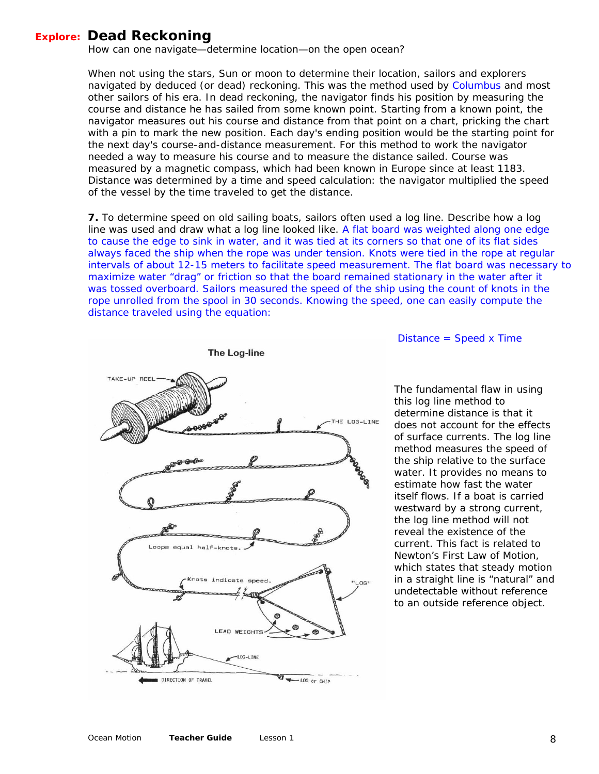## <span id="page-7-0"></span>**Explore: Dead Reckoning**

*How can one navigate—determine location—on the open ocean?* 

When not using the stars, Sun or moon to determine their location, sailors and explorers navigated by deduced (or dead) reckoning. This was the method used by [Columbus](http://www.oceanmotion.org/html/background/timeline1500.htm) and most other sailors of his era. In dead reckoning, the navigator finds his position by measuring the course and distance he has sailed from some known point. Starting from a known point, the navigator measures out his course and distance from that point on a chart, pricking the chart with a pin to mark the new position. Each day's ending position would be the starting point for the next day's course-and-distance measurement. For this method to work the navigator needed a way to measure his course and to measure the distance sailed. Course was measured by a magnetic compass, which had been known in Europe since at least 1183. Distance was determined by a time and speed calculation: the navigator multiplied the speed of the vessel by the time traveled to get the distance.

**7.** To determine speed on old sailing boats, sailors often used a log line. Describe how a log line was used and draw what a log line looked like. *A flat board was weighted along one edge to cause the edge to sink in water, and it was tied at its corners so that one of its flat sides always faced the ship when the rope was under tension. Knots were tied in the rope at regular intervals of about 12-15 meters to facilitate speed measurement. The flat board was necessary to maximize water "drag" or friction so that the board remained stationary in the water after it*  was tossed overboard. Sailors measured the speed of the ship using the count of knots in the *rope unrolled from the spool in 30 seconds. Knowing the speed, one can easily compute the distance traveled using the equation:* 



 *Distance = Speed x Time* 

The fundamental flaw in using this log line method to determine distance is that it does not account for the effects of surface currents. The log line method measures the speed of the ship relative to the surface water. It provides no means to estimate how fast the water itself flows. If a boat is carried westward by a strong current, the log line method will not reveal the existence of the current. This fact is related to Newton's First Law of Motion, which states that steady motion in a straight line is "natural" and undetectable without reference to an outside reference object.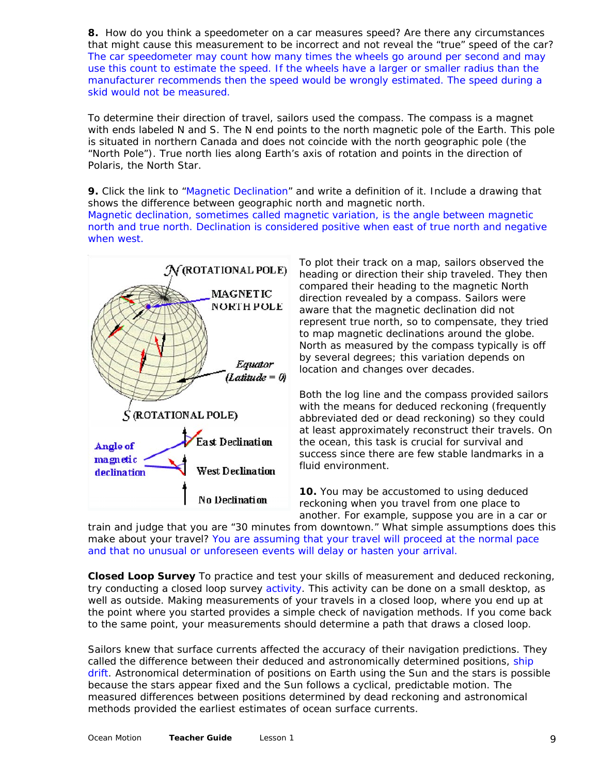**8.** How do you think a speedometer on a car measures speed? Are there any circumstances that might cause this measurement to be incorrect and not reveal the "true" speed of the car? *The car speedometer may count how many times the wheels go around per second and may use this count to estimate the speed. If the wheels have a larger or smaller radius than the manufacturer recommends then the speed would be wrongly estimated. The speed during a skid would not be measured.* 

To determine their direction of travel, sailors used the compass. The compass is a magnet with ends labeled N and S. The N end points to the north magnetic pole of the Earth. This pole is situated in northern Canada and does not coincide with the north geographic pole (the "North Pole"). True north lies along Earth's axis of rotation and points in the direction of Polaris, the North Star.

**9.** Click the link to ["Magnetic Declination](http://academic.brooklyn.cuny.edu/geology/leveson/core/linksa/magnetic.html)" and write a definition of it. Include a drawing that shows the difference between geographic north and magnetic north. *Magnetic declination, sometimes called magnetic variation, is the angle between magnetic north and true north. Declination is considered positive when east of true north and negative when west.* 



To plot their track on a map, sailors observed the heading or direction their ship traveled. They then compared their heading to the magnetic North direction revealed by a compass. Sailors were aware that the magnetic declination did not represent true north, so to compensate, they tried to map magnetic declinations around the globe. North as measured by the compass typically is off by several degrees; this variation depends on location and changes over decades.

Both the log line and the compass provided sailors with the means for deduced reckoning (frequently abbreviated ded or dead reckoning) so they could at least approximately reconstruct their travels. On the ocean, this task is crucial for survival and success since there are few stable landmarks in a fluid environment.

**10.** You may be accustomed to using deduced reckoning when you travel from one place to another. For example, suppose you are in a car or

train and judge that you are "30 minutes from downtown." What simple assumptions does this make about your travel? *You are assuming that your travel will proceed at the normal pace and that no unusual or unforeseen events will delay or hasten your arrival.* 

**Closed Loop Survey** To practice and test your skills of measurement and deduced reckoning, try conducting a closed loop survey [activity](http://physics.gallaudet.edu/survey/closedloop.html). This activity can be done on a small desktop, as well as outside. Making measurements of your travels in a closed loop, where you end up at the point where you started provides a simple check of navigation methods. If you come back to the same point, your measurements should determine a path that draws a closed loop.

Sailors knew that surface currents affected the accuracy of their navigation predictions. They called the difference between their deduced and astronomically determined positions, ship [drift.](http://www.oceanmotion.org/html/gatheringdata/shipdrifts.htm) Astronomical determination of positions on Earth using the Sun and the stars is possible because the stars appear fixed and the Sun follows a cyclical, predictable motion. The measured differences between positions determined by dead reckoning and astronomical methods provided the earliest estimates of ocean surface currents.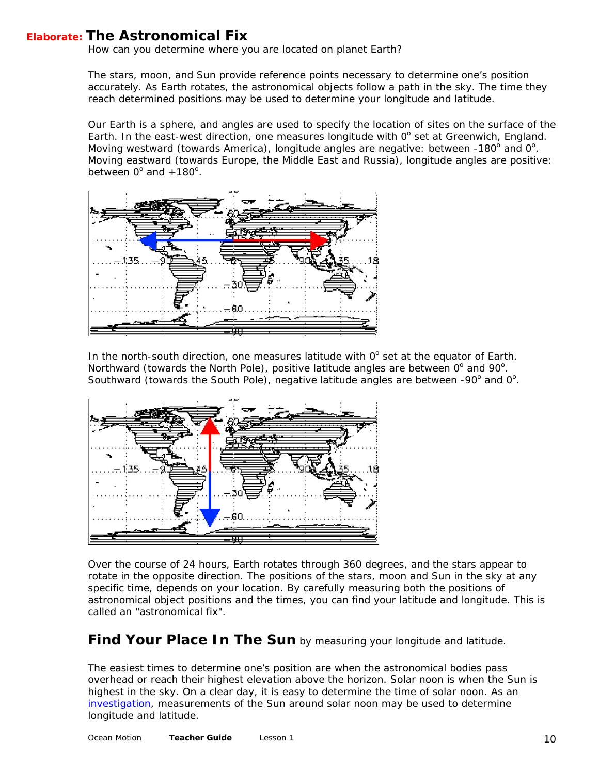# <span id="page-9-0"></span>**Elaborate: The Astronomical Fix**

*How can you determine where you are located on planet Earth?* 

The stars, moon, and Sun provide reference points necessary to determine one's position accurately. As Earth rotates, the astronomical objects follow a path in the sky. The time they reach determined positions may be used to determine your longitude and latitude.

Our Earth is a sphere, and angles are used to specify the location of sites on the surface of the Earth. In the east-west direction, one measures longitude with  $0^\circ$  set at Greenwich, England. Moving westward (towards America), longitude angles are negative: between -180° and 0°. Moving eastward (towards Europe, the Middle East and Russia), longitude angles are positive: between  $0^{\circ}$  and  $+180^{\circ}$ .



In the north-south direction, one measures latitude with  $0^\circ$  set at the equator of Earth. Northward (towards the North Pole), positive latitude angles are between  $0^{\circ}$  and  $90^{\circ}$ . Southward (towards the South Pole), negative latitude angles are between -90 $^{\circ}$  and 0 $^{\circ}$ .



Over the course of 24 hours, Earth rotates through 360 degrees, and the stars appear to rotate in the opposite direction. The positions of the stars, moon and Sun in the sky at any specific time, depends on your location. By carefully measuring both the positions of astronomical object positions and the times, you can find your latitude and longitude. This is called an "astronomical fix".

## **Find Your Place In The Sun** by measuring your longitude and latitude.

The easiest times to determine one's position are when the astronomical bodies pass overhead or reach their highest elevation above the horizon. Solar noon is when the Sun is highest in the sky. On a clear day, it is easy to determine the time of solar noon. As an [investigation](http://physics.gallaudet.edu/survey/calcll3.html), measurements of the Sun around solar noon may be used to determine longitude and latitude.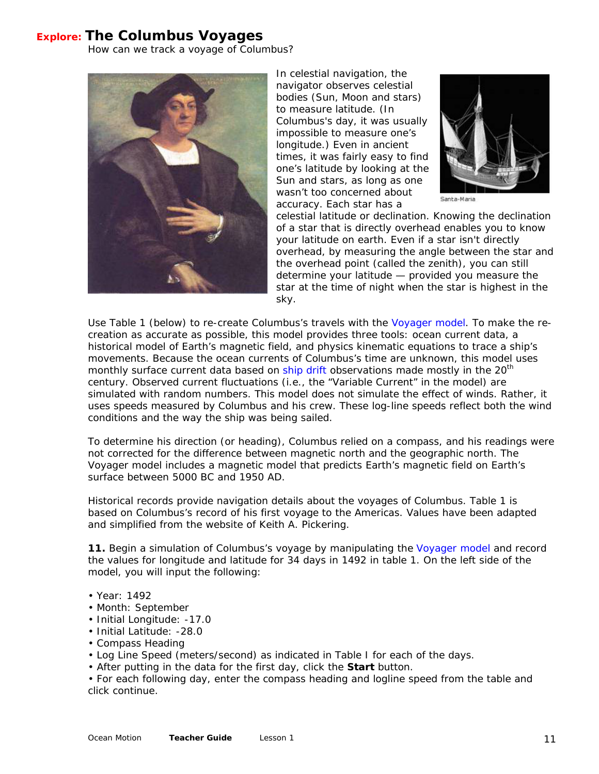## <span id="page-10-0"></span> **Explore: The Columbus Voyages**

*How can we track a voyage of Columbus?* 



In celestial navigation, the navigator observes celestial bodies (Sun, Moon and stars) to measure latitude. (In Columbus's day, it was usually impossible to measure one's longitude.) Even in ancient times, it was fairly easy to find one's latitude by looking at the Sun and stars, as long as one wasn't too concerned about accuracy. Each star has a



Santa-Maria

celestial latitude or declination. Knowing the declination of a star that is directly overhead enables you to know your latitude on earth. Even if a star isn't directly overhead, by measuring the angle between the star and the overhead point (called the zenith), you can still determine your latitude — provided you measure the star at the time of night when the star is highest in the sky.

Use Table 1 (below) to re-create Columbus's travels with the [Voyager model.](http://oceanmotion.org/html/resources/voyager.htm) To make the recreation as accurate as possible, this model provides three tools: ocean current data, a historical model of Earth's magnetic field, and physics kinematic equations to trace a ship's movements. Because the ocean currents of Columbus's time are unknown, this model uses monthly surface current data based on [ship drift](http://www.oceanmotion.org/html/resources/drifter.htm) observations made mostly in the 20<sup>th</sup> century. Observed current fluctuations (i.e., the "Variable Current" in the model) are simulated with random numbers. This model does not simulate the effect of winds. Rather, it uses speeds measured by Columbus and his crew. These log-line speeds reflect both the wind conditions and the way the ship was being sailed.

To determine his direction (or heading), Columbus relied on a compass, and his readings were not corrected for the difference between magnetic north and the geographic north. The Voyager model includes a magnetic model that predicts Earth's magnetic field on Earth's surface between 5000 BC and 1950 AD.

Historical records provide navigation details about the voyages of Columbus. Table 1 is based on Columbus's record of his first voyage to the Americas. Values have been adapted and simplified from the website of Keith A. Pickering.

**11.** Begin a simulation of Columbus's voyage by manipulating the [Voyager model](http://oceanmotion.org/html/resources/voyager.htm) and record the values for longitude and latitude for 34 days in 1492 in table 1. On the left side of the model, you will input the following:

- Year: 1492
- Month: September
- Initial Longitude: -17.0
- Initial Latitude: -28.0
- Compass Heading
- Log Line Speed (meters/second) as indicated in Table I for each of the days.
- After putting in the data for the first day, click the **Start** button.

• For each following day, enter the compass heading and logline speed from the table and click continue.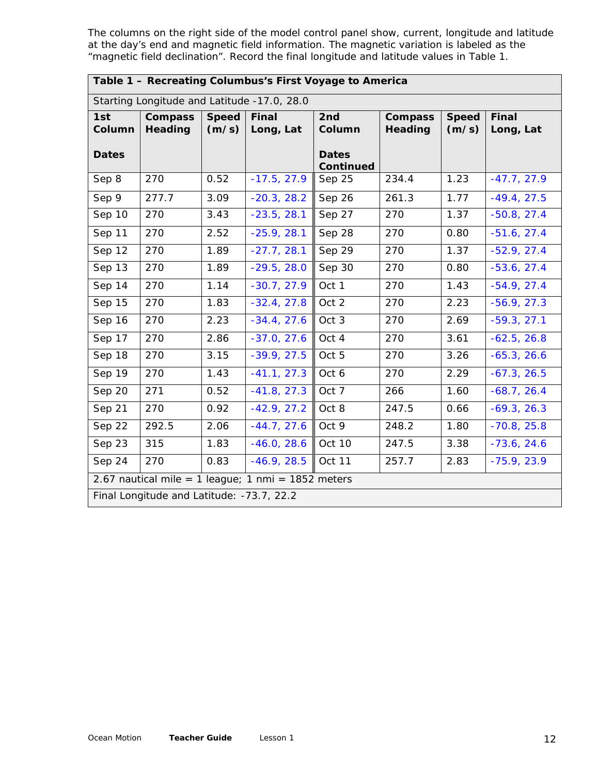The columns on the right side of the model control panel show, current, longitude and latitude at the day's end and magnetic field information. The magnetic variation is labeled as the "magnetic field declination". Record the final longitude and latitude values in Table 1.

## **Table 1 – Recreating Columbus's First Voyage to America**

| Starting Longitude and Latitude -17.0, 28.0 |                                  |                       |                                                    |                                  |                           |                       |                           |
|---------------------------------------------|----------------------------------|-----------------------|----------------------------------------------------|----------------------------------|---------------------------|-----------------------|---------------------------|
| 1st<br>Column                               | <b>Compass</b><br><b>Heading</b> | <b>Speed</b><br>(m/s) | Final<br>Long, Lat                                 | 2nd<br>Column                    | <b>Compass</b><br>Heading | <b>Speed</b><br>(m/s) | <b>Final</b><br>Long, Lat |
| <b>Dates</b>                                |                                  |                       |                                                    | <b>Dates</b><br><b>Continued</b> |                           |                       |                           |
| Sep 8                                       | 270                              | 0.52                  | $-17.5, 27.9$                                      | Sep 25                           | 234.4                     | 1.23                  | $-47.7, 27.9$             |
| Sep 9                                       | 277.7                            | 3.09                  | $-20.3, 28.2$                                      | Sep 26                           | 261.3                     | 1.77                  | $-49.4, 27.5$             |
| Sep 10                                      | 270                              | 3.43                  | $-23.5, 28.1$                                      | Sep 27                           | 270                       | 1.37                  | $-50.8, 27.4$             |
| Sep 11                                      | 270                              | 2.52                  | $-25.9, 28.1$                                      | Sep 28                           | 270                       | 0.80                  | $-51.6, 27.4$             |
| Sep 12                                      | 270                              | 1.89                  | $-27.7, 28.1$                                      | Sep 29                           | 270                       | 1.37                  | $-52.9, 27.4$             |
| Sep 13                                      | 270                              | 1.89                  | $-29.5, 28.0$                                      | Sep 30                           | 270                       | 0.80                  | $-53.6, 27.4$             |
| Sep 14                                      | 270                              | 1.14                  | $-30.7, 27.9$                                      | Oct 1                            | 270                       | 1.43                  | $-54.9, 27.4$             |
| Sep 15                                      | 270                              | 1.83                  | $-32.4, 27.8$                                      | Oct 2                            | 270                       | 2.23                  | $-56.9, 27.3$             |
| Sep 16                                      | 270                              | 2.23                  | $-34.4, 27.6$                                      | Oct 3                            | 270                       | 2.69                  | $-59.3, 27.1$             |
| Sep 17                                      | 270                              | 2.86                  | $-37.0, 27.6$                                      | Oct 4                            | 270                       | 3.61                  | $-62.5, 26.8$             |
| Sep 18                                      | 270                              | 3.15                  | $-39.9, 27.5$                                      | Oct 5                            | 270                       | 3.26                  | $-65.3, 26.6$             |
| Sep 19                                      | 270                              | 1.43                  | $-41.1, 27.3$                                      | Oct 6                            | 270                       | 2.29                  | $-67.3, 26.5$             |
| Sep 20                                      | 271                              | 0.52                  | $-41.8, 27.3$                                      | Oct 7                            | 266                       | 1.60                  | $-68.7, 26.4$             |
| Sep 21                                      | 270                              | 0.92                  | $-42.9, 27.2$                                      | Oct 8                            | 247.5                     | 0.66                  | $-69.3, 26.3$             |
| Sep 22                                      | 292.5                            | 2.06                  | $-44.7, 27.6$                                      | Oct 9                            | 248.2                     | 1.80                  | $-70.8, 25.8$             |
| Sep 23                                      | 315                              | 1.83                  | $-46.0, 28.6$                                      | Oct 10                           | 247.5                     | 3.38                  | $-73.6, 24.6$             |
| Sep 24                                      | 270                              | 0.83                  | $-46.9, 28.5$                                      | Oct 11                           | 257.7                     | 2.83                  | $-75.9, 23.9$             |
|                                             |                                  |                       | 2.67 nautical mile = 1 league; 1 nmi = 1852 meters |                                  |                           |                       |                           |
| Final Longitude and Latitude: -73.7, 22.2   |                                  |                       |                                                    |                                  |                           |                       |                           |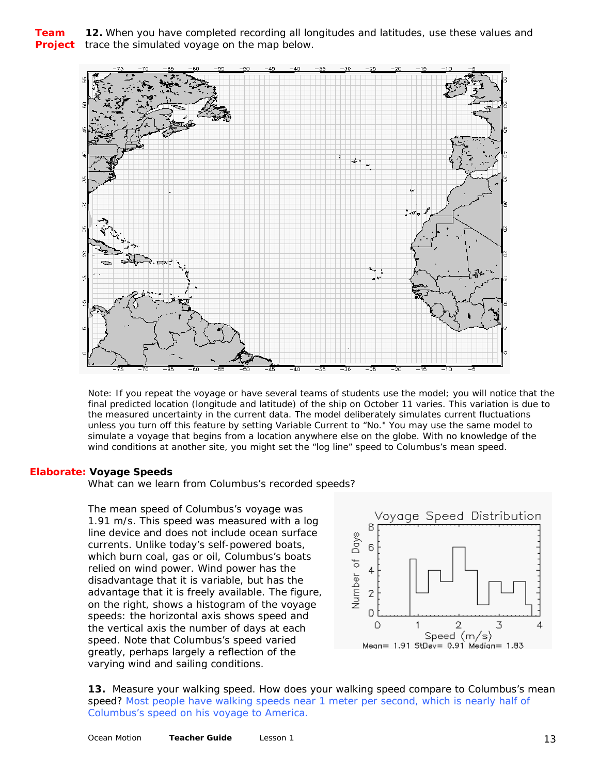### **Team 12.** When you have completed recording all longitudes and latitudes, use these values and **Project** trace the simulated voyage on the map below.



*Note: If you repeat the voyage or have several teams of students use the model; you will notice that the final predicted location (longitude and latitude) of the ship on October 11 varies. This variation is due to the measured uncertainty in the current data. The model deliberately simulates current fluctuations unless you turn off this feature by setting Variable Current to "No." You may use the same model to simulate a voyage that begins from a location anywhere else on the globe. With no knowledge of the wind conditions at another site, you might set the "log line" speed to Columbus's mean speed.*

#### **Elaborate: Voyage Speeds**

*What can we learn from Columbus's recorded speeds?* 

The mean speed of Columbus's voyage was 1.91 m/s. This speed was measured with a log line device and does not include ocean surface currents. Unlike today's self-powered boats, which burn coal, gas or oil, Columbus's boats relied on wind power. Wind power has the disadvantage that it is variable, but has the advantage that it is freely available. The figure, on the right, shows a histogram of the voyage speeds: the horizontal axis shows speed and the vertical axis the number of days at each speed. Note that Columbus's speed varied greatly, perhaps largely a reflection of the varying wind and sailing conditions.



**13.** Measure your walking speed. How does your walking speed compare to Columbus's mean speed? *Most people have walking speeds near 1 meter per second, which is nearly half of Columbus's speed on his voyage to America.*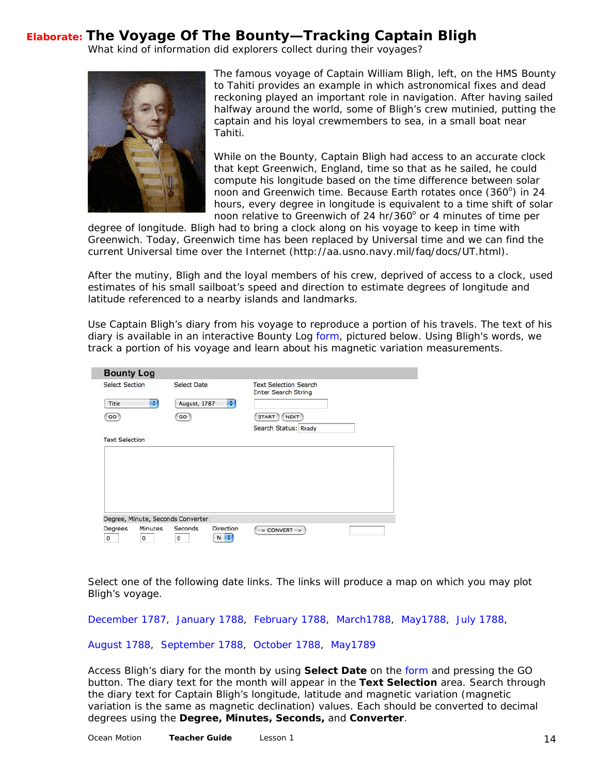# <span id="page-13-0"></span>**Elaborate: The Voyage Of The Bounty—Tracking Captain Bligh**

*What kind of information did explorers collect during their voyages?* 



 $\overline{\phantom{a}}$ 

The famous voyage of Captain William Bligh, left, on the HMS B ounty to Tahiti provides an example in which astronomical fixes and dead reckoning played an important role in navigation. After having sail ed halfway around the world, some of Bligh's crew mutinied, putt ing the captain and his loyal crewmembers to sea, in a small boat near Tahiti.

While on the Bounty, Captain Bligh had access to an accurate clock that kept Greenwich, England, time so that as he sailed, he could compute his longitude based on the time difference between solar noon and Greenwich time. Because Earth rotates once (360°) in 24 hours, every degree in longitude is equivalent to a time shift of solar noon relative to Greenwich of 24 hr/360° or 4 minutes of time per

degree of longitude. Bligh had to bring a clock along on his voyage to keep in time with Greenwich. Today, Greenwich time has been replaced by Universal time and we can find the current Universal time over the Internet (http://aa.usno.navy.mil/faq/docs/UT.html).

After the mutiny, Bligh and the loyal members of his crew, deprived of access to a clock, used estimates of his small sailboat's speed and direction to estimate degrees of longitude and latitude referenced to a nearby islands and landmarks.

Use Captain Bligh's diary from his voyage to reproduce a portion of his travels. The text of his diary is available in an interactive Bounty Log [form,](http://oceanmotion.org/html/resources/bounty.htm) pictured below. Using Bligh's words, we track a portion of his voyage and learn about his magnetic variation measurements.

|                       | <b>Select Section</b> | <b>Select Date</b>                |   | <b>Text Selection Search</b><br><b>Enter Search String</b> |  |
|-----------------------|-----------------------|-----------------------------------|---|------------------------------------------------------------|--|
| Title                 | ÷                     | August, 1787                      | ÷ |                                                            |  |
| GO                    |                       | GO                                |   | <b>NEXT</b><br><b>START</b><br>Search Status: Ready        |  |
| <b>Text Selection</b> |                       |                                   |   |                                                            |  |
|                       |                       |                                   |   |                                                            |  |
|                       |                       |                                   |   |                                                            |  |
|                       |                       |                                   |   |                                                            |  |
|                       |                       |                                   |   |                                                            |  |
|                       |                       |                                   |   |                                                            |  |
|                       |                       |                                   |   |                                                            |  |
|                       |                       | Degree, Minute, Seconds Converter |   |                                                            |  |

Select one of the following date links. The links will produce a map on which you may plot Bligh's voyage.

[December 1787,](http://oceanmotion.org/pdf/map121787.pdf) [January 1788](http://oceanmotion.org/pdf/map011788.pdf), [February 1788](http://oceanmotion.org/pdf/map021788.pdf), [March1788,](http://oceanmotion.org/pdf/map031788.pdf) [May1788](http://oceanmotion.org/pdf/map051788.pdf), [July 1788](http://oceanmotion.org/pdf/map071788.pdf),

#### [August 1788,](http://oceanmotion.org/pdf/map081788.pdf) [September 1788,](http://oceanmotion.org/pdf/map091788.pdf) [October 1788,](http://oceanmotion.org/pdf/map101788.pdf) [May1789](http://oceanmotion.org/pdf/map051789.pdf)

Access Bligh's diary for the month by using **Select Date** on the [form](http://oceanmotion.org/html/resources/bounty.htm) and pressing the GO button. The diary text for the month will appear in the **Text Selection** area. Search through the diary text for Captain Bligh's longitude, latitude and magnetic variation (magnetic variation is the same as magnetic declination) values. Each should be converted to decimal degrees using the **Degree, Minutes, Seconds,** and **Converter**.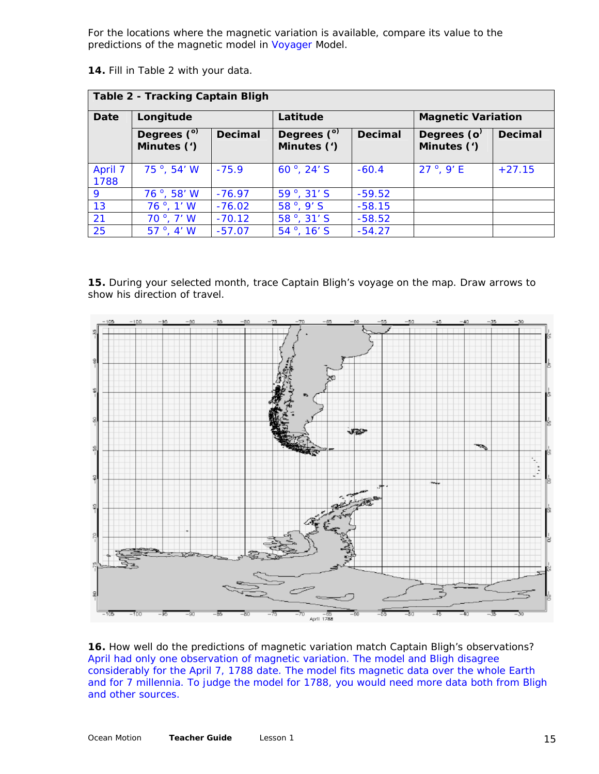For the locations where the magnetic variation is available, compare its value to the predictions of the magnetic model in [Voyager](http://oceanmotion.org/html/resources/voyager.htm) Model.

**14.** Fill in Table 2 with your data.

| <b>Table 2 - Tracking Captain Bligh</b> |                            |                |                               |                |                               |                |
|-----------------------------------------|----------------------------|----------------|-------------------------------|----------------|-------------------------------|----------------|
| <b>Date</b>                             | Longitude                  |                | Latitude                      |                | <b>Magnetic Variation</b>     |                |
|                                         | Degrees (°)<br>Minutes (') | <b>Decimal</b> | Degrees $(°)$<br>Minutes (')  | <b>Decimal</b> | Degrees ( $o2$<br>Minutes (') | <b>Decimal</b> |
| April 7<br>1788                         | 75 $^{\circ}$ , 54' W      | $-75.9$        | 60 $^{\circ}$ , 24' S         | $-60.4$        | $27^{\circ}$ , 9' E           | $+27.15$       |
| 9                                       | $76^{\circ}$ , 58' W       | $-76.97$       | $59^{\circ}$ , $31^{\circ}$ S | $-59.52$       |                               |                |
| 13                                      | $76^\circ$ , 1' W          | $-76.02$       | $58^{\circ}$ , 9' S           | $-58.15$       |                               |                |
| 21                                      | $70^\circ$ , $7' W$        | $-70.12$       | 58 <sup>°</sup> , 31′ S       | $-58.52$       |                               |                |
| 25                                      | $57^\circ$ , 4' W          | $-57.07$       | $54^{\circ}$ , 16' S          | $-54.27$       |                               |                |

**15.** During your selected month, trace Captain Bligh's voyage on the map. Draw arrows to show his direction of travel.



**16.** How well do the predictions of magnetic variation match Captain Bligh's observations? *April had only one observation of magnetic variation. The model and Bligh disagree considerably for the April 7, 1788 date. The model fits magnetic data over the whole Earth and for 7 millennia. To judge the model for 1788, you would need more data both from Bligh and other sources.*